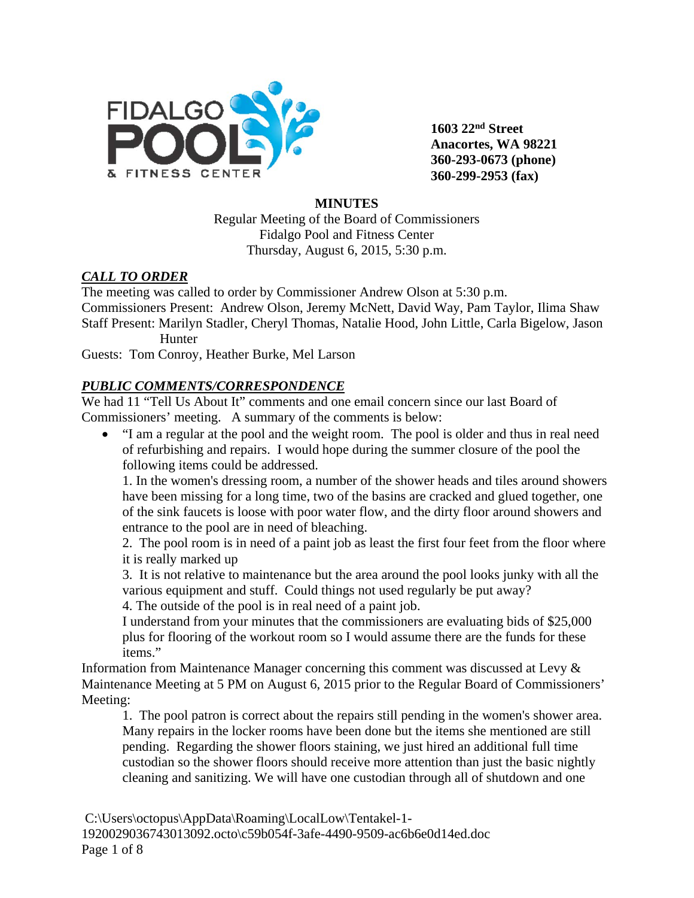

**1603 22nd Street Anacortes, WA 98221 360-293-0673 (phone) 360-299-2953 (fax)**

#### **MINUTES**

Regular Meeting of the Board of Commissioners Fidalgo Pool and Fitness Center Thursday, August 6, 2015, 5:30 p.m.

### *CALL TO ORDER*

The meeting was called to order by Commissioner Andrew Olson at 5:30 p.m. Commissioners Present: Andrew Olson, Jeremy McNett, David Way, Pam Taylor, Ilima Shaw Staff Present: Marilyn Stadler, Cheryl Thomas, Natalie Hood, John Little, Carla Bigelow, Jason **Hunter** 

Guests: Tom Conroy, Heather Burke, Mel Larson

### *PUBLIC COMMENTS/CORRESPONDENCE*

We had 11 "Tell Us About It" comments and one email concern since our last Board of Commissioners' meeting. A summary of the comments is below:

• "I am a regular at the pool and the weight room. The pool is older and thus in real need of refurbishing and repairs. I would hope during the summer closure of the pool the following items could be addressed.

1. In the women's dressing room, a number of the shower heads and tiles around showers have been missing for a long time, two of the basins are cracked and glued together, one of the sink faucets is loose with poor water flow, and the dirty floor around showers and entrance to the pool are in need of bleaching.

2. The pool room is in need of a paint job as least the first four feet from the floor where it is really marked up

3. It is not relative to maintenance but the area around the pool looks junky with all the various equipment and stuff. Could things not used regularly be put away?

4. The outside of the pool is in real need of a paint job.

I understand from your minutes that the commissioners are evaluating bids of \$25,000 plus for flooring of the workout room so I would assume there are the funds for these items."

Information from Maintenance Manager concerning this comment was discussed at Levy & Maintenance Meeting at 5 PM on August 6, 2015 prior to the Regular Board of Commissioners' Meeting:

1. The pool patron is correct about the repairs still pending in the women's shower area. Many repairs in the locker rooms have been done but the items she mentioned are still pending. Regarding the shower floors staining, we just hired an additional full time custodian so the shower floors should receive more attention than just the basic nightly cleaning and sanitizing. We will have one custodian through all of shutdown and one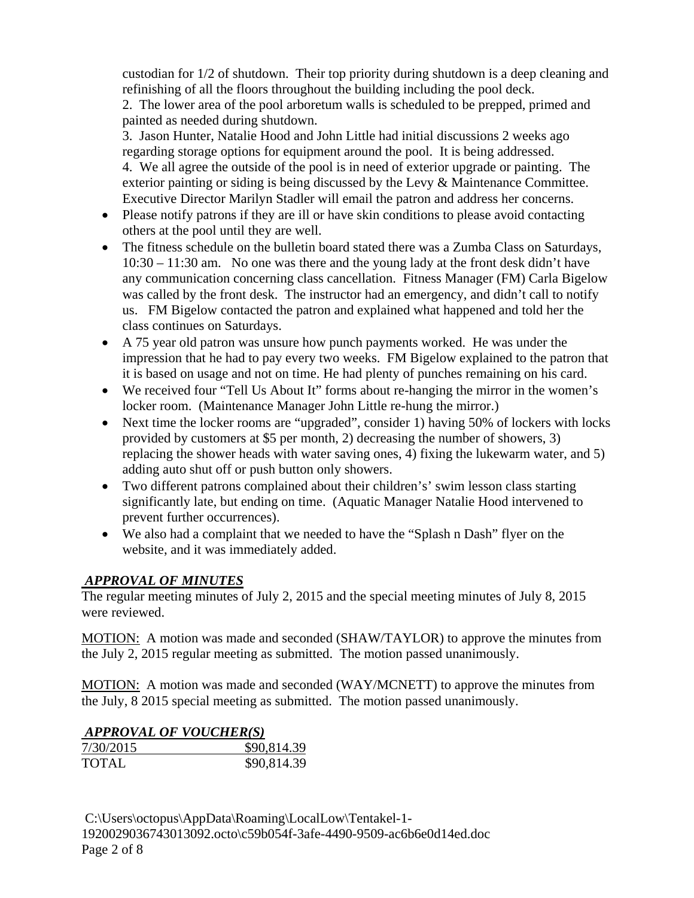custodian for 1/2 of shutdown. Their top priority during shutdown is a deep cleaning and refinishing of all the floors throughout the building including the pool deck. 2. The lower area of the pool arboretum walls is scheduled to be prepped, primed and painted as needed during shutdown.

3. Jason Hunter, Natalie Hood and John Little had initial discussions 2 weeks ago regarding storage options for equipment around the pool. It is being addressed. 4. We all agree the outside of the pool is in need of exterior upgrade or painting. The exterior painting or siding is being discussed by the Levy & Maintenance Committee. Executive Director Marilyn Stadler will email the patron and address her concerns.

- Please notify patrons if they are ill or have skin conditions to please avoid contacting others at the pool until they are well.
- The fitness schedule on the bulletin board stated there was a Zumba Class on Saturdays, 10:30 – 11:30 am. No one was there and the young lady at the front desk didn't have any communication concerning class cancellation. Fitness Manager (FM) Carla Bigelow was called by the front desk. The instructor had an emergency, and didn't call to notify us. FM Bigelow contacted the patron and explained what happened and told her the class continues on Saturdays.
- A 75 year old patron was unsure how punch payments worked. He was under the impression that he had to pay every two weeks. FM Bigelow explained to the patron that it is based on usage and not on time. He had plenty of punches remaining on his card.
- We received four "Tell Us About It" forms about re-hanging the mirror in the women's locker room. (Maintenance Manager John Little re-hung the mirror.)
- Next time the locker rooms are "upgraded", consider 1) having 50% of lockers with locks provided by customers at \$5 per month, 2) decreasing the number of showers, 3) replacing the shower heads with water saving ones, 4) fixing the lukewarm water, and 5) adding auto shut off or push button only showers.
- Two different patrons complained about their children's' swim lesson class starting significantly late, but ending on time. (Aquatic Manager Natalie Hood intervened to prevent further occurrences).
- We also had a complaint that we needed to have the "Splash n Dash" flyer on the website, and it was immediately added.

### *APPROVAL OF MINUTES*

The regular meeting minutes of July 2, 2015 and the special meeting minutes of July 8, 2015 were reviewed.

MOTION: A motion was made and seconded (SHAW/TAYLOR) to approve the minutes from the July 2, 2015 regular meeting as submitted. The motion passed unanimously.

MOTION: A motion was made and seconded (WAY/MCNETT) to approve the minutes from the July, 8 2015 special meeting as submitted. The motion passed unanimously.

### *APPROVAL OF VOUCHER(S)*

| 7/30/2015    | \$90,814.39 |
|--------------|-------------|
| <b>TOTAL</b> | \$90,814.39 |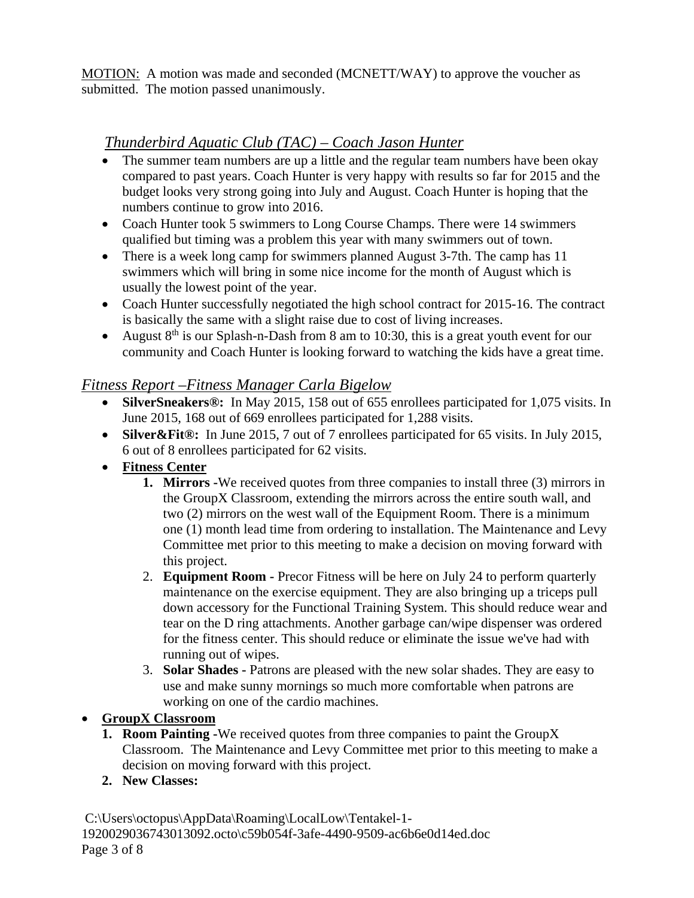MOTION: A motion was made and seconded (MCNETT/WAY) to approve the voucher as submitted. The motion passed unanimously.

# *Thunderbird Aquatic Club (TAC) – Coach Jason Hunter*

- The summer team numbers are up a little and the regular team numbers have been okay compared to past years. Coach Hunter is very happy with results so far for 2015 and the budget looks very strong going into July and August. Coach Hunter is hoping that the numbers continue to grow into 2016.
- Coach Hunter took 5 swimmers to Long Course Champs. There were 14 swimmers qualified but timing was a problem this year with many swimmers out of town.
- There is a week long camp for swimmers planned August 3-7th. The camp has 11 swimmers which will bring in some nice income for the month of August which is usually the lowest point of the year.
- Coach Hunter successfully negotiated the high school contract for 2015-16. The contract is basically the same with a slight raise due to cost of living increases.
- August  $8<sup>th</sup>$  is our Splash-n-Dash from 8 am to 10:30, this is a great youth event for our community and Coach Hunter is looking forward to watching the kids have a great time.

# *Fitness Report –Fitness Manager Carla Bigelow*

- **SilverSneakers®:** In May 2015, 158 out of 655 enrollees participated for 1,075 visits. In June 2015, 168 out of 669 enrollees participated for 1,288 visits.
- **Silver&Fit®:** In June 2015, 7 out of 7 enrollees participated for 65 visits. In July 2015, 6 out of 8 enrollees participated for 62 visits.
- **Fitness Center**
	- **1. Mirrors -**We received quotes from three companies to install three (3) mirrors in the GroupX Classroom, extending the mirrors across the entire south wall, and two (2) mirrors on the west wall of the Equipment Room. There is a minimum one (1) month lead time from ordering to installation. The Maintenance and Levy Committee met prior to this meeting to make a decision on moving forward with this project.
	- 2. **Equipment Room -** Precor Fitness will be here on July 24 to perform quarterly maintenance on the exercise equipment. They are also bringing up a triceps pull down accessory for the Functional Training System. This should reduce wear and tear on the D ring attachments. Another garbage can/wipe dispenser was ordered for the fitness center. This should reduce or eliminate the issue we've had with running out of wipes.
	- 3. **Solar Shades -** Patrons are pleased with the new solar shades. They are easy to use and make sunny mornings so much more comfortable when patrons are working on one of the cardio machines.

# • **GroupX Classroom**

- **1. Room Painting -**We received quotes from three companies to paint the GroupX Classroom. The Maintenance and Levy Committee met prior to this meeting to make a decision on moving forward with this project.
- **2. New Classes:**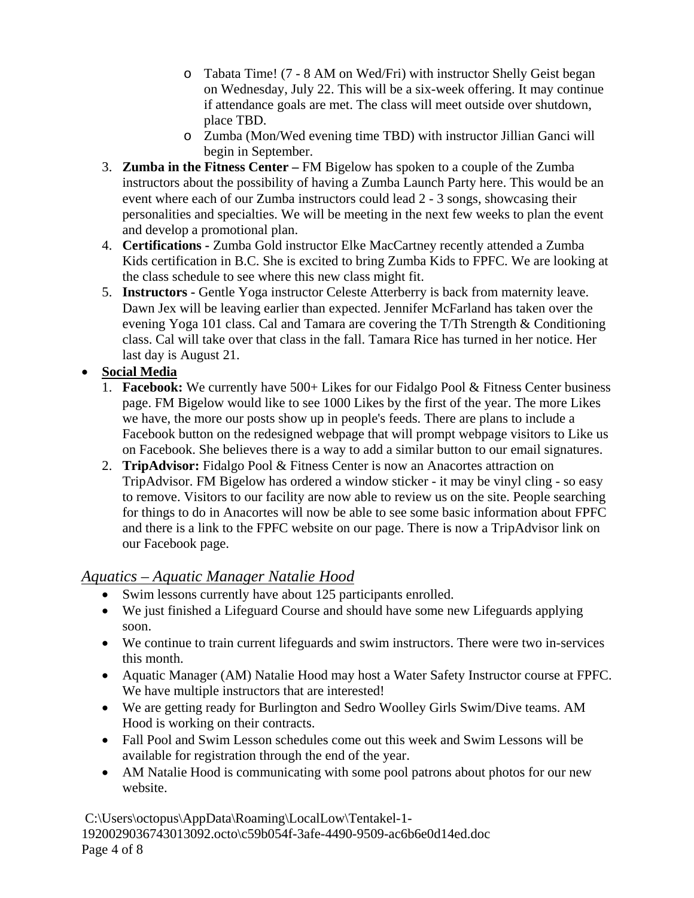- o Tabata Time! (7 8 AM on Wed/Fri) with instructor Shelly Geist began on Wednesday, July 22. This will be a six-week offering. It may continue if attendance goals are met. The class will meet outside over shutdown, place TBD.
- o Zumba (Mon/Wed evening time TBD) with instructor Jillian Ganci will begin in September.
- 3. **Zumba in the Fitness Center –** FM Bigelow has spoken to a couple of the Zumba instructors about the possibility of having a Zumba Launch Party here. This would be an event where each of our Zumba instructors could lead 2 - 3 songs, showcasing their personalities and specialties. We will be meeting in the next few weeks to plan the event and develop a promotional plan.
- 4. **Certifications -** Zumba Gold instructor Elke MacCartney recently attended a Zumba Kids certification in B.C. She is excited to bring Zumba Kids to FPFC. We are looking at the class schedule to see where this new class might fit.
- 5. **Instructors -** Gentle Yoga instructor Celeste Atterberry is back from maternity leave. Dawn Jex will be leaving earlier than expected. Jennifer McFarland has taken over the evening Yoga 101 class. Cal and Tamara are covering the T/Th Strength & Conditioning class. Cal will take over that class in the fall. Tamara Rice has turned in her notice. Her last day is August 21.

# • **Social Media**

- 1. **Facebook:** We currently have 500+ Likes for our Fidalgo Pool & Fitness Center business page. FM Bigelow would like to see 1000 Likes by the first of the year. The more Likes we have, the more our posts show up in people's feeds. There are plans to include a Facebook button on the redesigned webpage that will prompt webpage visitors to Like us on Facebook. She believes there is a way to add a similar button to our email signatures.
- 2. **TripAdvisor:** Fidalgo Pool & Fitness Center is now an Anacortes attraction on TripAdvisor. FM Bigelow has ordered a window sticker - it may be vinyl cling - so easy to remove. Visitors to our facility are now able to review us on the site. People searching for things to do in Anacortes will now be able to see some basic information about FPFC and there is a link to the FPFC website on our page. There is now a TripAdvisor link on our Facebook page.

# *Aquatics – Aquatic Manager Natalie Hood*

- Swim lessons currently have about 125 participants enrolled.
- We just finished a Lifeguard Course and should have some new Lifeguards applying soon.
- We continue to train current lifeguards and swim instructors. There were two in-services this month.
- Aquatic Manager (AM) Natalie Hood may host a Water Safety Instructor course at FPFC. We have multiple instructors that are interested!
- We are getting ready for Burlington and Sedro Woolley Girls Swim/Dive teams. AM Hood is working on their contracts.
- Fall Pool and Swim Lesson schedules come out this week and Swim Lessons will be available for registration through the end of the year.
- AM Natalie Hood is communicating with some pool patrons about photos for our new website.

C:\Users\octopus\AppData\Roaming\LocalLow\Tentakel-1- 1920029036743013092.octo\c59b054f-3afe-4490-9509-ac6b6e0d14ed.doc Page 4 of 8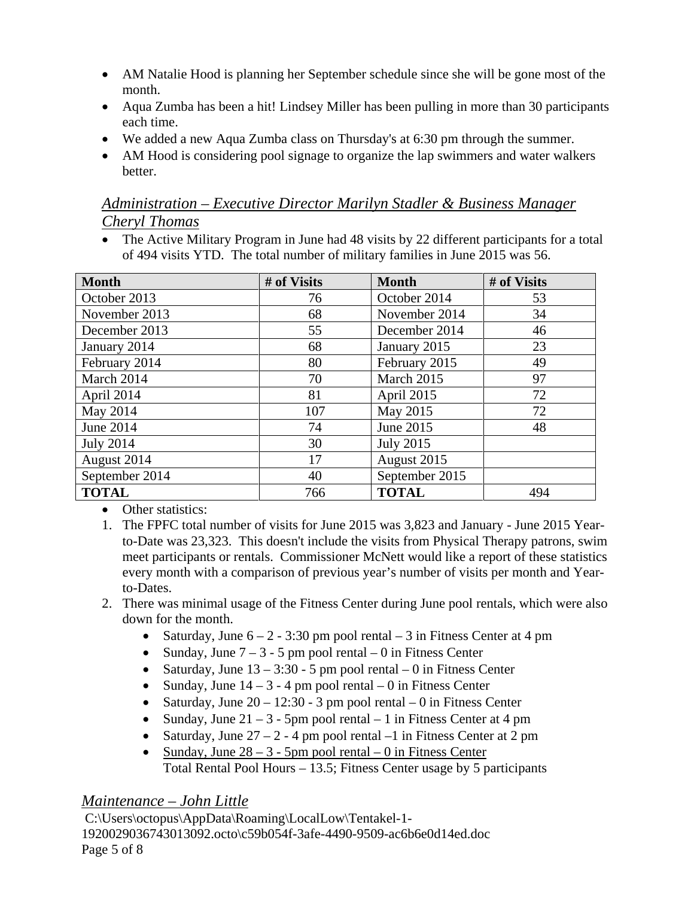- AM Natalie Hood is planning her September schedule since she will be gone most of the month.
- Aqua Zumba has been a hit! Lindsey Miller has been pulling in more than 30 participants each time.
- We added a new Aqua Zumba class on Thursday's at 6:30 pm through the summer.
- AM Hood is considering pool signage to organize the lap swimmers and water walkers better.

# *Administration – Executive Director Marilyn Stadler & Business Manager Cheryl Thomas*

• The Active Military Program in June had 48 visits by 22 different participants for a total of 494 visits YTD. The total number of military families in June 2015 was 56.

| <b>Month</b>     | # of Visits | <b>Month</b>     | # of Visits |
|------------------|-------------|------------------|-------------|
| October 2013     | 76          | October 2014     | 53          |
| November 2013    | 68          | November 2014    | 34          |
| December 2013    | 55          | December 2014    | 46          |
| January 2014     | 68          | January 2015     | 23          |
| February 2014    | 80          | February 2015    | 49          |
| March 2014       | 70          | March 2015       | 97          |
| April 2014       | 81          | April 2015       | 72          |
| May 2014         | 107         | May 2015         | 72          |
| June 2014        | 74          | June 2015        | 48          |
| <b>July 2014</b> | 30          | <b>July 2015</b> |             |
| August 2014      | 17          | August 2015      |             |
| September 2014   | 40          | September 2015   |             |
| <b>TOTAL</b>     | 766         | <b>TOTAL</b>     | 494         |

• Other statistics:

- 1. The FPFC total number of visits for June 2015 was 3,823 and January June 2015 Yearto-Date was 23,323. This doesn't include the visits from Physical Therapy patrons, swim meet participants or rentals. Commissioner McNett would like a report of these statistics every month with a comparison of previous year's number of visits per month and Yearto-Dates.
- 2. There was minimal usage of the Fitness Center during June pool rentals, which were also down for the month.
	- Saturday, June  $6 2 3:30$  pm pool rental  $-3$  in Fitness Center at 4 pm
	- Sunday, June  $7 3 5$  pm pool rental  $0$  in Fitness Center
	- Saturday, June  $13 3:30 5$  pm pool rental  $-0$  in Fitness Center
	- Sunday, June  $14 3 4$  pm pool rental  $-0$  in Fitness Center
	- Saturday, June  $20 12:30 3$  pm pool rental  $-0$  in Fitness Center
	- Sunday, June  $21 3$  5pm pool rental  $-1$  in Fitness Center at 4 pm
	- Saturday, June  $27 2 4$  pm pool rental  $-1$  in Fitness Center at 2 pm
	- Sunday, June  $28 3$  5pm pool rental  $-0$  in Fitness Center Total Rental Pool Hours – 13.5; Fitness Center usage by 5 participants

# *Maintenance – John Little*

C:\Users\octopus\AppData\Roaming\LocalLow\Tentakel-1- 1920029036743013092.octo\c59b054f-3afe-4490-9509-ac6b6e0d14ed.doc Page 5 of 8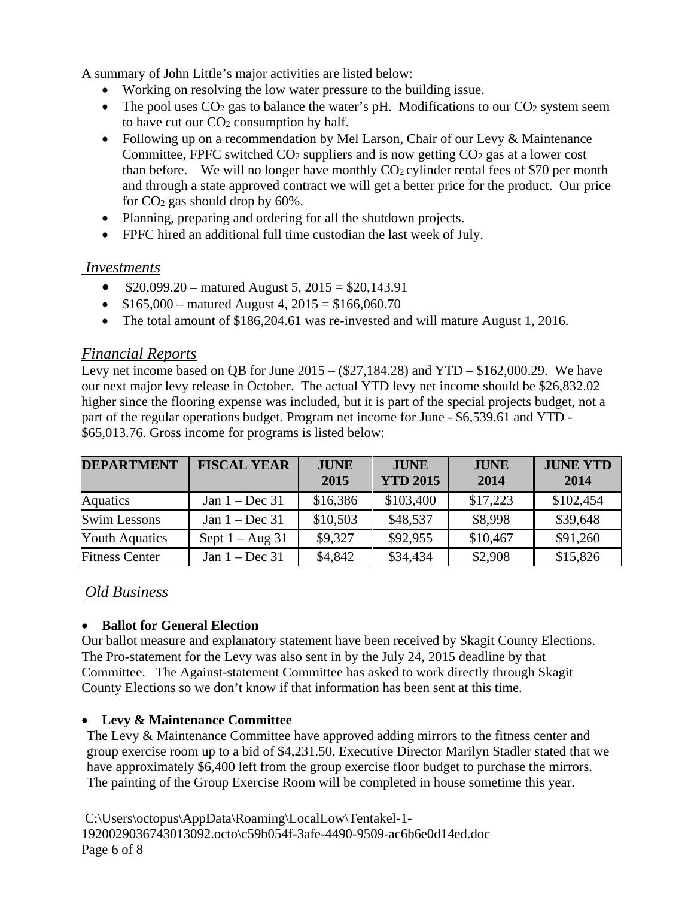A summary of John Little's major activities are listed below:

- Working on resolving the low water pressure to the building issue.
- The pool uses  $CO<sub>2</sub>$  gas to balance the water's pH. Modifications to our  $CO<sub>2</sub>$  system seem to have cut our  $CO<sub>2</sub>$  consumption by half.
- Following up on a recommendation by Mel Larson, Chair of our Levy & Maintenance Committee, FPFC switched  $CO<sub>2</sub>$  suppliers and is now getting  $CO<sub>2</sub>$  gas at a lower cost than before. We will no longer have monthly  $CO<sub>2</sub>$  cylinder rental fees of \$70 per month and through a state approved contract we will get a better price for the product. Our price for  $CO<sub>2</sub>$  gas should drop by 60%.
- Planning, preparing and ordering for all the shutdown projects.
- FPFC hired an additional full time custodian the last week of July.

# *Investments*

- $$20,099.20$  matured August 5,  $2015 = $20,143.91$
- $$165,000$  matured August 4,  $2015 = $166,060.70$
- The total amount of \$186,204.61 was re-invested and will mature August 1, 2016.

# *Financial Reports*

Levy net income based on QB for June  $2015 - (\$27,184.28)$  and  $YTD - \$162,000.29$ . We have our next major levy release in October. The actual YTD levy net income should be \$26,832.02 higher since the flooring expense was included, but it is part of the special projects budget, not a part of the regular operations budget. Program net income for June - \$6,539.61 and YTD - \$65,013.76. Gross income for programs is listed below:

| <b>DEPARTMENT</b>     | <b>FISCAL YEAR</b> | <b>JUNE</b><br>2015 | <b>JUNE</b><br><b>YTD 2015</b> | <b>JUNE</b><br>2014 | <b>JUNE YTD</b><br>2014 |
|-----------------------|--------------------|---------------------|--------------------------------|---------------------|-------------------------|
| Aquatics              | Jan $1 - Dec 31$   | \$16,386            | \$103,400                      | \$17,223            | \$102,454               |
| <b>Swim Lessons</b>   | Jan $1 - Dec 31$   | \$10,503            | \$48,537                       | \$8,998             | \$39,648                |
| <b>Youth Aquatics</b> | Sept $1 - Aug\ 31$ | \$9,327             | \$92,955                       | \$10,467            | \$91,260                |
| <b>Fitness Center</b> | Jan $1 - Dec 31$   | \$4,842             | \$34,434                       | \$2,908             | \$15,826                |

# *Old Business*

### • **Ballot for General Election**

Our ballot measure and explanatory statement have been received by Skagit County Elections. The Pro-statement for the Levy was also sent in by the July 24, 2015 deadline by that Committee. The Against-statement Committee has asked to work directly through Skagit County Elections so we don't know if that information has been sent at this time.

# • **Levy & Maintenance Committee**

The Levy & Maintenance Committee have approved adding mirrors to the fitness center and group exercise room up to a bid of \$4,231.50. Executive Director Marilyn Stadler stated that we have approximately \$6,400 left from the group exercise floor budget to purchase the mirrors. The painting of the Group Exercise Room will be completed in house sometime this year.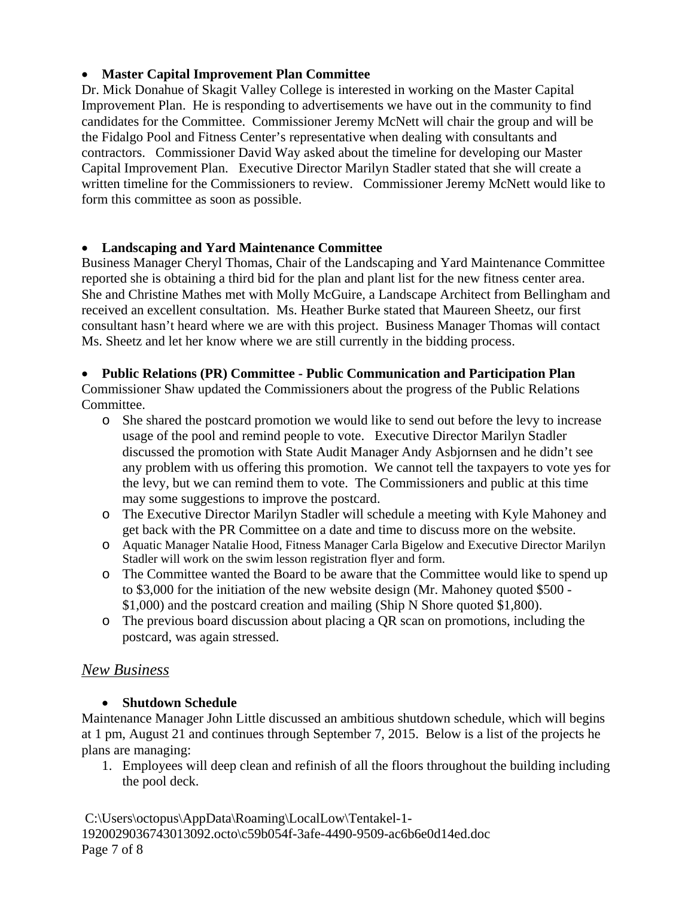### • **Master Capital Improvement Plan Committee**

Dr. Mick Donahue of Skagit Valley College is interested in working on the Master Capital Improvement Plan. He is responding to advertisements we have out in the community to find candidates for the Committee. Commissioner Jeremy McNett will chair the group and will be the Fidalgo Pool and Fitness Center's representative when dealing with consultants and contractors. Commissioner David Way asked about the timeline for developing our Master Capital Improvement Plan. Executive Director Marilyn Stadler stated that she will create a written timeline for the Commissioners to review. Commissioner Jeremy McNett would like to form this committee as soon as possible.

#### • **Landscaping and Yard Maintenance Committee**

Business Manager Cheryl Thomas, Chair of the Landscaping and Yard Maintenance Committee reported she is obtaining a third bid for the plan and plant list for the new fitness center area. She and Christine Mathes met with Molly McGuire, a Landscape Architect from Bellingham and received an excellent consultation. Ms. Heather Burke stated that Maureen Sheetz, our first consultant hasn't heard where we are with this project. Business Manager Thomas will contact Ms. Sheetz and let her know where we are still currently in the bidding process.

#### • **Public Relations (PR) Committee - Public Communication and Participation Plan**

Commissioner Shaw updated the Commissioners about the progress of the Public Relations Committee.

- o She shared the postcard promotion we would like to send out before the levy to increase usage of the pool and remind people to vote. Executive Director Marilyn Stadler discussed the promotion with State Audit Manager Andy Asbjornsen and he didn't see any problem with us offering this promotion. We cannot tell the taxpayers to vote yes for the levy, but we can remind them to vote. The Commissioners and public at this time may some suggestions to improve the postcard.
- o The Executive Director Marilyn Stadler will schedule a meeting with Kyle Mahoney and get back with the PR Committee on a date and time to discuss more on the website.
- o Aquatic Manager Natalie Hood, Fitness Manager Carla Bigelow and Executive Director Marilyn Stadler will work on the swim lesson registration flyer and form.
- o The Committee wanted the Board to be aware that the Committee would like to spend up to \$3,000 for the initiation of the new website design (Mr. Mahoney quoted \$500 - \$1,000) and the postcard creation and mailing (Ship N Shore quoted \$1,800).
- o The previous board discussion about placing a QR scan on promotions, including the postcard, was again stressed.

# *New Business*

### • **Shutdown Schedule**

Maintenance Manager John Little discussed an ambitious shutdown schedule, which will begins at 1 pm, August 21 and continues through September 7, 2015. Below is a list of the projects he plans are managing:

1. Employees will deep clean and refinish of all the floors throughout the building including the pool deck.

C:\Users\octopus\AppData\Roaming\LocalLow\Tentakel-1- 1920029036743013092.octo\c59b054f-3afe-4490-9509-ac6b6e0d14ed.doc Page 7 of 8